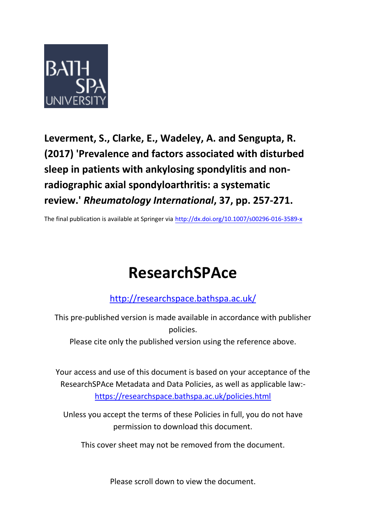

**Leverment, S., Clarke, E., Wadeley, A. and Sengupta, R. (2017) 'Prevalence and factors associated with disturbed sleep in patients with ankylosing spondylitis and nonradiographic axial spondyloarthritis: a systematic review.'** *Rheumatology International***, 37, pp. 257-271.**

The final publication is available at Springer via http://dx.doi.org/10.1007/s00296-016-3589-x

# **ResearchSPAce**

<http://researchspace.bathspa.ac.uk/>

This pre-published version is made available in accordance with publisher policies.

Please cite only the published version using the reference above.

Your access and use of this document is based on your acceptance of the ResearchSPAce Metadata and Data Policies, as well as applicable law: https://researchspace.bathspa.ac.uk/policies.html

Unless you accept the terms of these Policies in full, you do not have permission to download this document.

This cover sheet may not be removed from the document.

Please scroll down to view the document.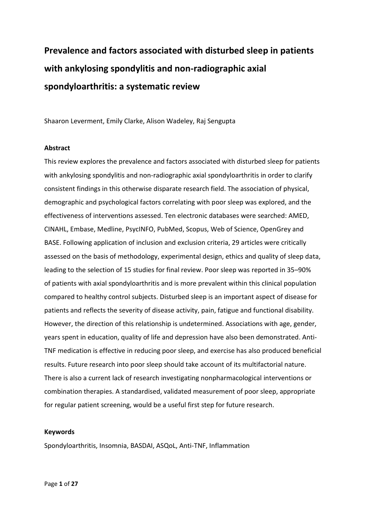## **Prevalence and factors associated with disturbed sleep in patients with ankylosing spondylitis and non-radiographic axial spondyloarthritis: a systematic review**

Shaaron Leverment, Emily Clarke, Alison Wadeley, Raj Sengupta

### **Abstract**

This review explores the prevalence and factors associated with disturbed sleep for patients with ankylosing spondylitis and non-radiographic axial spondyloarthritis in order to clarify consistent findings in this otherwise disparate research field. The association of physical, demographic and psychological factors correlating with poor sleep was explored, and the effectiveness of interventions assessed. Ten electronic databases were searched: AMED, CINAHL, Embase, Medline, PsycINFO, PubMed, Scopus, Web of Science, OpenGrey and BASE. Following application of inclusion and exclusion criteria, 29 articles were critically assessed on the basis of methodology, experimental design, ethics and quality of sleep data, leading to the selection of 15 studies for final review. Poor sleep was reported in 35–90% of patients with axial spondyloarthritis and is more prevalent within this clinical population compared to healthy control subjects. Disturbed sleep is an important aspect of disease for patients and reflects the severity of disease activity, pain, fatigue and functional disability. However, the direction of this relationship is undetermined. Associations with age, gender, years spent in education, quality of life and depression have also been demonstrated. Anti-TNF medication is effective in reducing poor sleep, and exercise has also produced beneficial results. Future research into poor sleep should take account of its multifactorial nature. There is also a current lack of research investigating nonpharmacological interventions or combination therapies. A standardised, validated measurement of poor sleep, appropriate for regular patient screening, would be a useful first step for future research.

### **Keywords**

Spondyloarthritis, Insomnia, BASDAI, ASQoL, Anti-TNF, Inflammation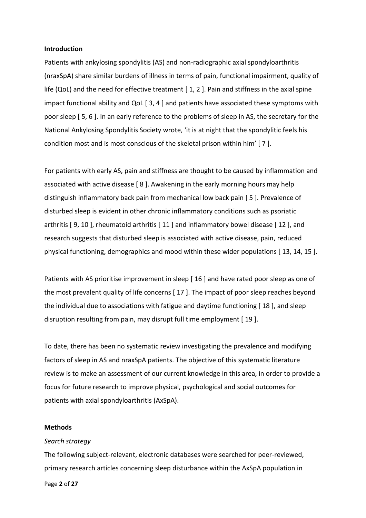### **Introduction**

Patients with ankylosing spondylitis (AS) and non-radiographic axial spondyloarthritis (nraxSpA) share similar burdens of illness in terms of pain, functional impairment, quality of life (QoL) and the need for effective treatment  $[1, 2]$ . Pain and stiffness in the axial spine impact functional ability and QoL [ 3, 4 ] and patients have associated these symptoms with poor sleep [ 5, 6 ]. In an early reference to the problems of sleep in AS, the secretary for the National Ankylosing Spondylitis Society wrote, 'it is at night that the spondylitic feels his condition most and is most conscious of the skeletal prison within him' [ 7 ].

For patients with early AS, pain and stiffness are thought to be caused by inflammation and associated with active disease [ 8 ]. Awakening in the early morning hours may help distinguish inflammatory back pain from mechanical low back pain [ 5 ]. Prevalence of disturbed sleep is evident in other chronic inflammatory conditions such as psoriatic arthritis [ 9, 10 ], rheumatoid arthritis [ 11 ] and inflammatory bowel disease [ 12 ], and research suggests that disturbed sleep is associated with active disease, pain, reduced physical functioning, demographics and mood within these wider populations [ 13, 14, 15 ].

Patients with AS prioritise improvement in sleep [ 16 ] and have rated poor sleep as one of the most prevalent quality of life concerns [ 17 ]. The impact of poor sleep reaches beyond the individual due to associations with fatigue and daytime functioning [ 18 ], and sleep disruption resulting from pain, may disrupt full time employment [ 19 ].

To date, there has been no systematic review investigating the prevalence and modifying factors of sleep in AS and nraxSpA patients. The objective of this systematic literature review is to make an assessment of our current knowledge in this area, in order to provide a focus for future research to improve physical, psychological and social outcomes for patients with axial spondyloarthritis (AxSpA).

### **Methods**

### *Search strategy*

The following subject-relevant, electronic databases were searched for peer-reviewed, primary research articles concerning sleep disturbance within the AxSpA population in

Page **2** of **27**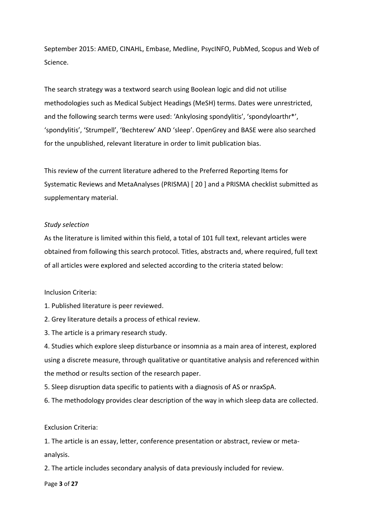September 2015: AMED, CINAHL, Embase, Medline, PsycINFO, PubMed, Scopus and Web of Science.

The search strategy was a textword search using Boolean logic and did not utilise methodologies such as Medical Subject Headings (MeSH) terms. Dates were unrestricted, and the following search terms were used: 'Ankylosing spondylitis', 'spondyloarthr\*', 'spondylitis', 'Strumpell', 'Bechterew' AND 'sleep'. OpenGrey and BASE were also searched for the unpublished, relevant literature in order to limit publication bias.

This review of the current literature adhered to the Preferred Reporting Items for Systematic Reviews and MetaAnalyses (PRISMA) [ 20 ] and a PRISMA checklist submitted as supplementary material.

### *Study selection*

As the literature is limited within this field, a total of 101 full text, relevant articles were obtained from following this search protocol. Titles, abstracts and, where required, full text of all articles were explored and selected according to the criteria stated below:

### Inclusion Criteria:

- 1. Published literature is peer reviewed.
- 2. Grey literature details a process of ethical review.
- 3. The article is a primary research study.

4. Studies which explore sleep disturbance or insomnia as a main area of interest, explored using a discrete measure, through qualitative or quantitative analysis and referenced within the method or results section of the research paper.

5. Sleep disruption data specific to patients with a diagnosis of AS or nraxSpA.

6. The methodology provides clear description of the way in which sleep data are collected.

### Exclusion Criteria:

1. The article is an essay, letter, conference presentation or abstract, review or metaanalysis.

2. The article includes secondary analysis of data previously included for review.

Page **3** of **27**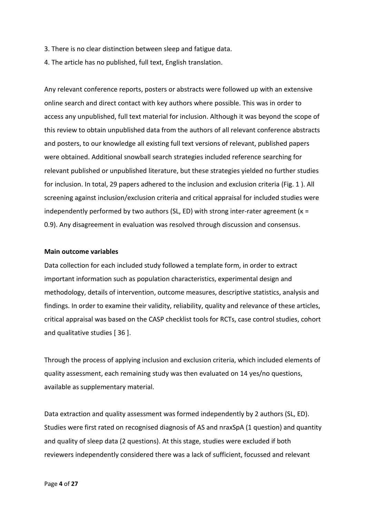- 3. There is no clear distinction between sleep and fatigue data.
- 4. The article has no published, full text, English translation.

Any relevant conference reports, posters or abstracts were followed up with an extensive online search and direct contact with key authors where possible. This was in order to access any unpublished, full text material for inclusion. Although it was beyond the scope of this review to obtain unpublished data from the authors of all relevant conference abstracts and posters, to our knowledge all existing full text versions of relevant, published papers were obtained. Additional snowball search strategies included reference searching for relevant published or unpublished literature, but these strategies yielded no further studies for inclusion. In total, 29 papers adhered to the inclusion and exclusion criteria (Fig. 1 ). All screening against inclusion/exclusion criteria and critical appraisal for included studies were independently performed by two authors (SL, ED) with strong inter-rater agreement ( $\kappa$  = 0.9). Any disagreement in evaluation was resolved through discussion and consensus.

### **Main outcome variables**

Data collection for each included study followed a template form, in order to extract important information such as population characteristics, experimental design and methodology, details of intervention, outcome measures, descriptive statistics, analysis and findings. In order to examine their validity, reliability, quality and relevance of these articles, critical appraisal was based on the CASP checklist tools for RCTs, case control studies, cohort and qualitative studies [ 36 ].

Through the process of applying inclusion and exclusion criteria, which included elements of quality assessment, each remaining study was then evaluated on 14 yes/no questions, available as supplementary material.

Data extraction and quality assessment was formed independently by 2 authors (SL, ED). Studies were first rated on recognised diagnosis of AS and nraxSpA (1 question) and quantity and quality of sleep data (2 questions). At this stage, studies were excluded if both reviewers independently considered there was a lack of sufficient, focussed and relevant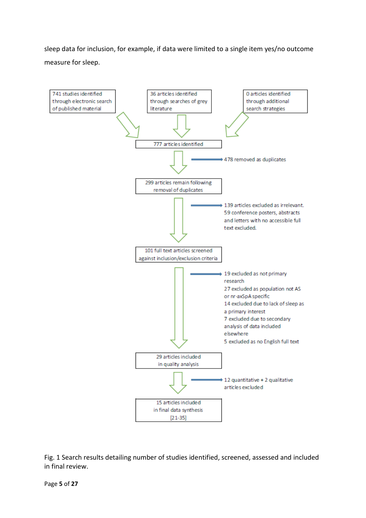sleep data for inclusion, for example, if data were limited to a single item yes/no outcome measure for sleep.



Fig. 1 Search results detailing number of studies identified, screened, assessed and included in final review.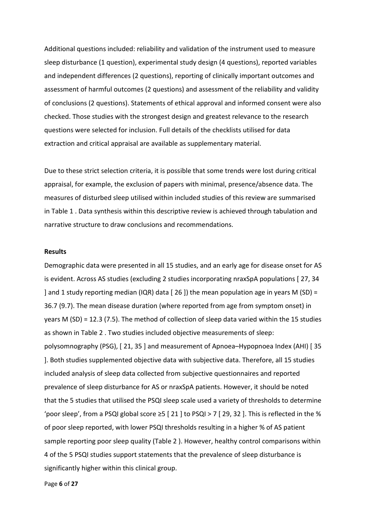Additional questions included: reliability and validation of the instrument used to measure sleep disturbance (1 question), experimental study design (4 questions), reported variables and independent differences (2 questions), reporting of clinically important outcomes and assessment of harmful outcomes (2 questions) and assessment of the reliability and validity of conclusions (2 questions). Statements of ethical approval and informed consent were also checked. Those studies with the strongest design and greatest relevance to the research questions were selected for inclusion. Full details of the checklists utilised for data extraction and critical appraisal are available as supplementary material.

Due to these strict selection criteria, it is possible that some trends were lost during critical appraisal, for example, the exclusion of papers with minimal, presence/absence data. The measures of disturbed sleep utilised within included studies of this review are summarised in Table 1 . Data synthesis within this descriptive review is achieved through tabulation and narrative structure to draw conclusions and recommendations.

### **Results**

Demographic data were presented in all 15 studies, and an early age for disease onset for AS is evident. Across AS studies (excluding 2 studies incorporating nraxSpA populations [ 27, 34 ] and 1 study reporting median (IQR) data [ 26 ]) the mean population age in years M (SD) = 36.7 (9.7). The mean disease duration (where reported from age from symptom onset) in years M (SD) = 12.3 (7.5). The method of collection of sleep data varied within the 15 studies as shown in Table 2 . Two studies included objective measurements of sleep: polysomnography (PSG), [ 21, 35 ] and measurement of Apnoea–Hypopnoea Index (AHI) [ 35 ]. Both studies supplemented objective data with subjective data. Therefore, all 15 studies included analysis of sleep data collected from subjective questionnaires and reported prevalence of sleep disturbance for AS or nraxSpA patients. However, it should be noted that the 5 studies that utilised the PSQI sleep scale used a variety of thresholds to determine 'poor sleep', from a PSQI global score  $\geq$  5 [ 21 ] to PSQI > 7 [ 29, 32 ]. This is reflected in the % of poor sleep reported, with lower PSQI thresholds resulting in a higher % of AS patient sample reporting poor sleep quality (Table 2 ). However, healthy control comparisons within 4 of the 5 PSQI studies support statements that the prevalence of sleep disturbance is significantly higher within this clinical group.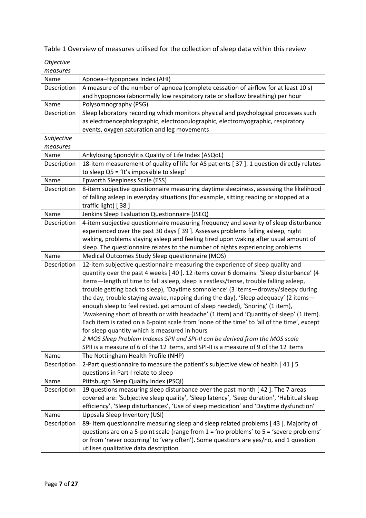| Objective   |                                                                                                                                                                                |  |  |  |  |  |  |
|-------------|--------------------------------------------------------------------------------------------------------------------------------------------------------------------------------|--|--|--|--|--|--|
| measures    |                                                                                                                                                                                |  |  |  |  |  |  |
| Name        | Apnoea-Hypopnoea Index (AHI)                                                                                                                                                   |  |  |  |  |  |  |
| Description | A measure of the number of apnoea (complete cessation of airflow for at least 10 s)                                                                                            |  |  |  |  |  |  |
|             | and hypopnoea (abnormally low respiratory rate or shallow breathing) per hour                                                                                                  |  |  |  |  |  |  |
| Name        | Polysomnography (PSG)                                                                                                                                                          |  |  |  |  |  |  |
| Description | Sleep laboratory recording which monitors physical and psychological processes such                                                                                            |  |  |  |  |  |  |
|             | as electroencephalographic, electrooculographic, electromyographic, respiratory                                                                                                |  |  |  |  |  |  |
|             | events, oxygen saturation and leg movements                                                                                                                                    |  |  |  |  |  |  |
| Subjective  |                                                                                                                                                                                |  |  |  |  |  |  |
| measures    |                                                                                                                                                                                |  |  |  |  |  |  |
| Name        | Ankylosing Spondylitis Quality of Life Index (ASQoL)                                                                                                                           |  |  |  |  |  |  |
| Description | 18-item measurement of quality of life for AS patients [37]. 1 question directly relates                                                                                       |  |  |  |  |  |  |
|             | to sleep Q5 = 'It's impossible to sleep'                                                                                                                                       |  |  |  |  |  |  |
| Name        | Epworth Sleepiness Scale (ESS)                                                                                                                                                 |  |  |  |  |  |  |
| Description | 8-item subjective questionnaire measuring daytime sleepiness, assessing the likelihood                                                                                         |  |  |  |  |  |  |
|             | of falling asleep in everyday situations (for example, sitting reading or stopped at a                                                                                         |  |  |  |  |  |  |
|             | traffic light) [38]                                                                                                                                                            |  |  |  |  |  |  |
| Name        | Jenkins Sleep Evaluation Questionnaire (JSEQ)                                                                                                                                  |  |  |  |  |  |  |
| Description | 4-item subjective questionnaire measuring frequency and severity of sleep disturbance                                                                                          |  |  |  |  |  |  |
|             | experienced over the past 30 days [39]. Assesses problems falling asleep, night                                                                                                |  |  |  |  |  |  |
|             | waking, problems staying asleep and feeling tired upon waking after usual amount of                                                                                            |  |  |  |  |  |  |
|             | sleep. The questionnaire relates to the number of nights experiencing problems                                                                                                 |  |  |  |  |  |  |
| Name        | Medical Outcomes Study Sleep questionnaire (MOS)                                                                                                                               |  |  |  |  |  |  |
| Description | 12-item subjective questionnaire measuring the experience of sleep quality and                                                                                                 |  |  |  |  |  |  |
|             | quantity over the past 4 weeks [40]. 12 items cover 6 domains: 'Sleep disturbance' (4<br>items-length of time to fall asleep, sleep is restless/tense, trouble falling asleep, |  |  |  |  |  |  |
|             | trouble getting back to sleep), 'Daytime somnolence' (3 items-drowsy/sleepy during                                                                                             |  |  |  |  |  |  |
|             | the day, trouble staying awake, napping during the day), 'Sleep adequacy' (2 items-                                                                                            |  |  |  |  |  |  |
|             | enough sleep to feel rested, get amount of sleep needed), 'Snoring' (1 item),                                                                                                  |  |  |  |  |  |  |
|             | 'Awakening short of breath or with headache' (1 item) and 'Quantity of sleep' (1 item).                                                                                        |  |  |  |  |  |  |
|             | Each item is rated on a 6-point scale from 'none of the time' to 'all of the time', except                                                                                     |  |  |  |  |  |  |
|             | for sleep quantity which is measured in hours                                                                                                                                  |  |  |  |  |  |  |
|             | 2 MOS Sleep Problem Indexes SPII and SPI-II can be derived from the MOS scale                                                                                                  |  |  |  |  |  |  |
|             | SPII is a measure of 6 of the 12 items, and SPI-II is a measure of 9 of the 12 items                                                                                           |  |  |  |  |  |  |
| Name        | The Nottingham Health Profile (NHP)                                                                                                                                            |  |  |  |  |  |  |
| Description | 2-Part questionnaire to measure the patient's subjective view of health [41] 5                                                                                                 |  |  |  |  |  |  |
|             | questions in Part I relate to sleep                                                                                                                                            |  |  |  |  |  |  |
| Name        | Pittsburgh Sleep Quality Index (PSQI)                                                                                                                                          |  |  |  |  |  |  |
| Description | 19 questions measuring sleep disturbance over the past month [42]. The 7 areas                                                                                                 |  |  |  |  |  |  |
|             | covered are: 'Subjective sleep quality', 'Sleep latency', 'Seep duration', 'Habitual sleep                                                                                     |  |  |  |  |  |  |
|             | efficiency', 'Sleep disturbances', 'Use of sleep medication' and 'Daytime dysfunction'                                                                                         |  |  |  |  |  |  |
| Name        | Uppsala Sleep Inventory (USI)                                                                                                                                                  |  |  |  |  |  |  |
| Description | 89- item questionnaire measuring sleep and sleep related problems [43]. Majority of                                                                                            |  |  |  |  |  |  |
|             | questions are on a 5-point scale (range from 1 = 'no problems' to 5 = 'severe problems'                                                                                        |  |  |  |  |  |  |
|             | or from 'never occurring' to 'very often'). Some questions are yes/no, and 1 question                                                                                          |  |  |  |  |  |  |
|             | utilises qualitative data description                                                                                                                                          |  |  |  |  |  |  |

Table 1 Overview of measures utilised for the collection of sleep data within this review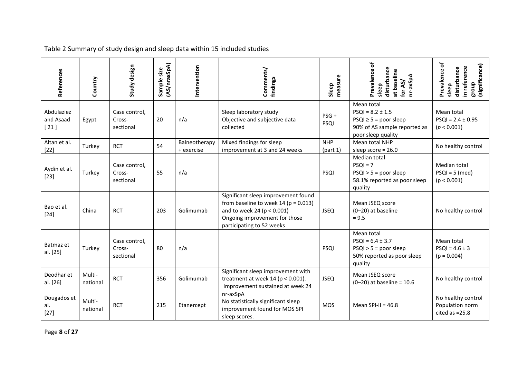| References                        | Country            | Study design                         | (AS/nraxSpA)<br>Sample size | Intervention                | Comments/<br>findings                                                                                                                                                             | measure<br>Sleep       | Prevalence of<br>disturbance<br>at baseline<br>nr-axSpA<br>for AS/<br>sleep                                            | ð<br>significance)<br>in reference<br>disturbance<br>Prevalence<br>dno.8<br>sleep |
|-----------------------------------|--------------------|--------------------------------------|-----------------------------|-----------------------------|-----------------------------------------------------------------------------------------------------------------------------------------------------------------------------------|------------------------|------------------------------------------------------------------------------------------------------------------------|-----------------------------------------------------------------------------------|
| Abdulaziez<br>and Asaad<br>$[21]$ | Egypt              | Case control,<br>Cross-<br>sectional | 20                          | n/a                         | Sleep laboratory study<br>Objective and subjective data<br>collected                                                                                                              | $PSG +$<br>PSQI        | Mean total<br>$PSQI = 8.2 \pm 1.5$<br>$PSQI \geq 5 = poor sleep$<br>90% of AS sample reported as<br>poor sleep quality | Mean total<br>$PSQI = 2.4 \pm 0.95$<br>(p < 0.001)                                |
| Altan et al.<br>$[22]$            | Turkey             | <b>RCT</b>                           | 54                          | Balneotherapy<br>+ exercise | Mixed findings for sleep<br>improvement at 3 and 24 weeks                                                                                                                         | <b>NHP</b><br>(part 1) | Mean total NHP<br>sleep score = $26.0$                                                                                 | No healthy control                                                                |
| Aydin et al.<br>$[23]$            | Turkey             | Case control,<br>Cross-<br>sectional | 55                          | n/a                         |                                                                                                                                                                                   | PSQI                   | Median total<br>$PSQI = 7$<br>$PSQI > 5 = poor sleep$<br>58.1% reported as poor sleep<br>quality                       | Median total<br>$PSQI = 5$ (med)<br>(p < 0.001)                                   |
| Bao et al.<br>$[24]$              | China              | <b>RCT</b>                           | 203                         | Golimumab                   | Significant sleep improvement found<br>from baseline to week $14$ ( $p = 0.013$ )<br>and to week 24 ( $p < 0.001$ )<br>Ongoing improvement for those<br>participating to 52 weeks | <b>JSEQ</b>            | Mean JSEQ score<br>(0-20) at baseline<br>$= 9.5$                                                                       | No healthy control                                                                |
| Batmaz et<br>al. [25]             | Turkey             | Case control,<br>Cross-<br>sectional | 80                          | n/a                         |                                                                                                                                                                                   | PSQI                   | Mean total<br>$PSQI = 6.4 \pm 3.7$<br>$PSQI > 5 = poor sleep$<br>50% reported as poor sleep<br>quality                 | Mean total<br>$PSQI = 4.6 \pm 3$<br>$(p = 0.004)$                                 |
| Deodhar et<br>al. [26]            | Multi-<br>national | <b>RCT</b>                           | 356                         | Golimumab                   | Significant sleep improvement with<br>treatment at week 14 ( $p < 0.001$ ).<br>Improvement sustained at week 24                                                                   | <b>JSEQ</b>            | Mean JSEQ score<br>$(0 - 20)$ at baseline = 10.6                                                                       | No healthy control                                                                |
| Dougados et<br>al.<br>$[27]$      | Multi-<br>national | <b>RCT</b>                           | 215                         | Etanercept                  | nr-axSpA<br>No statistically significant sleep<br>improvement found for MOS SPI<br>sleep scores.                                                                                  | <b>MOS</b>             | Mean SPI-II = $46.8$                                                                                                   | No healthy control<br>Population norm<br>cited as $=25.8$                         |

Table 2 Summary of study design and sleep data within 15 included studies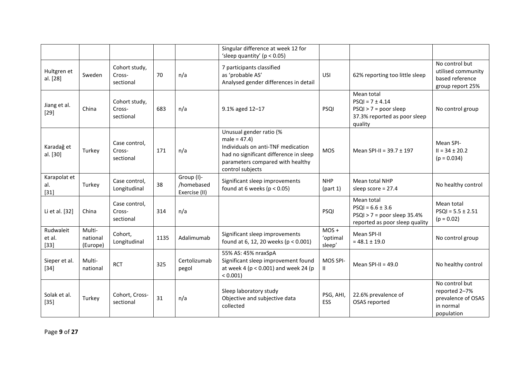|                               |                                |                                      |      |                                           | Singular difference at week 12 for<br>'sleep quantity' ( $p < 0.05$ )                                                                                                             |                               |                                                                                                         |                                                                                  |
|-------------------------------|--------------------------------|--------------------------------------|------|-------------------------------------------|-----------------------------------------------------------------------------------------------------------------------------------------------------------------------------------|-------------------------------|---------------------------------------------------------------------------------------------------------|----------------------------------------------------------------------------------|
| Hultgren et<br>al. [28]       | Sweden                         | Cohort study,<br>Cross-<br>sectional | 70   | n/a                                       | 7 participants classified<br>as 'probable AS'<br>Analysed gender differences in detail                                                                                            | USI                           | 62% reporting too little sleep                                                                          | No control but<br>utilised community<br>based reference<br>group report 25%      |
| Jiang et al.<br>$[29]$        | China                          | Cohort study,<br>Cross-<br>sectional | 683  | n/a                                       | 9.1% aged 12-17                                                                                                                                                                   | PSQI                          | Mean total<br>$PSQI = 7 \pm 4.14$<br>$PSQI > 7 = poor sleep$<br>37.3% reported as poor sleep<br>quality | No control group                                                                 |
| Karadağ et<br>al. [30]        | Turkey                         | Case control,<br>Cross-<br>sectional | 171  | n/a                                       | Unusual gender ratio (%<br>$male = 47.4)$<br>Individuals on anti-TNF medication<br>had no significant difference in sleep<br>parameters compared with healthy<br>control subjects | <b>MOS</b>                    | Mean SPI-II = $39.7 \pm 197$                                                                            | Mean SPI-<br>$II = 34 \pm 20.2$<br>$(p = 0.034)$                                 |
| Karapolat et<br>al.<br>$[31]$ | Turkey                         | Case control,<br>Longitudinal        | 38   | Group (I)-<br>/homebased<br>Exercise (II) | Significant sleep improvements<br>found at 6 weeks ( $p < 0.05$ )                                                                                                                 | <b>NHP</b><br>(part 1)        | Mean total NHP<br>sleep score = 27.4                                                                    | No healthy control                                                               |
| Li et al. [32]                | China                          | Case control,<br>Cross-<br>sectional | 314  | n/a                                       |                                                                                                                                                                                   | PSQI                          | Mean total<br>$PSQI = 6.6 \pm 3.6$<br>$PSQI > 7 = poor sleep 35.4%$<br>reported as poor sleep quality   | Mean total<br>$PSQI = 5.5 \pm 2.51$<br>$(p = 0.02)$                              |
| Rudwaleit<br>et al.<br>$[33]$ | Multi-<br>national<br>(Europe) | Cohort,<br>Longitudinal              | 1135 | Adalimumab                                | Significant sleep improvements<br>found at 6, 12, 20 weeks ( $p < 0.001$ )                                                                                                        | $MOS +$<br>'optimal<br>sleep' | Mean SPI-II<br>$= 48.1 \pm 19.0$                                                                        | No control group                                                                 |
| Sieper et al.<br>$[34]$       | Multi-<br>national             | <b>RCT</b>                           | 325  | Certolizumab<br>pegol                     | 55% AS: 45% nraxSpA<br>Significant sleep improvement found<br>at week 4 ( $p < 0.001$ ) and week 24 ( $p$<br>$< 0.001$ )                                                          | MOS SPI-<br>Ш.                | Mean SPI-II = $49.0$                                                                                    | No healthy control                                                               |
| Solak et al.<br>$[35]$        | Turkey                         | Cohort, Cross-<br>sectional          | 31   | n/a                                       | Sleep laboratory study<br>Objective and subjective data<br>collected                                                                                                              | PSG, AHI,<br>ESS              | 22.6% prevalence of<br>OSAS reported                                                                    | No control but<br>reported 2-7%<br>prevalence of OSAS<br>in normal<br>population |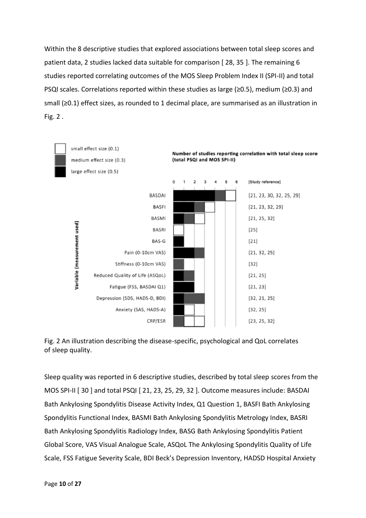Within the 8 descriptive studies that explored associations between total sleep scores and patient data, 2 studies lacked data suitable for comparison [ 28, 35 ]. The remaining 6 studies reported correlating outcomes of the MOS Sleep Problem Index II (SPI-II) and total PSQI scales. Correlations reported within these studies as large (≥0.5), medium (≥0.3) and small (≥0.1) effect sizes, as rounded to 1 decimal place, are summarised as an illustration in Fig. 2 .





Sleep quality was reported in 6 descriptive studies, described by total sleep scores from the MOS SPI-II [ 30 ] and total PSQI [ 21, 23, 25, 29, 32 ]. Outcome measures include: BASDAI Bath Ankylosing Spondylitis Disease Activity Index, Q1 Question 1, BASFI Bath Ankylosing Spondylitis Functional Index, BASMI Bath Ankylosing Spondylitis Metrology Index, BASRI Bath Ankylosing Spondylitis Radiology Index, BASG Bath Ankylosing Spondylitis Patient Global Score, VAS Visual Analogue Scale, ASQoL The Ankylosing Spondylitis Quality of Life Scale, FSS Fatigue Severity Scale, BDI Beck's Depression Inventory, HADSD Hospital Anxiety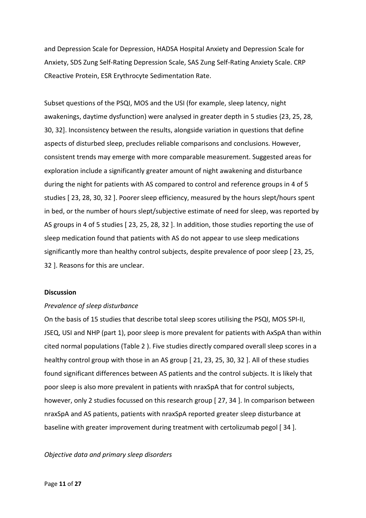and Depression Scale for Depression, HADSA Hospital Anxiety and Depression Scale for Anxiety, SDS Zung Self-Rating Depression Scale, SAS Zung Self-Rating Anxiety Scale. CRP CReactive Protein, ESR Erythrocyte Sedimentation Rate.

Subset questions of the PSQI, MOS and the USI (for example, sleep latency, night awakenings, daytime dysfunction) were analysed in greater depth in 5 studies {23, 25, 28, 30, 32]. Inconsistency between the results, alongside variation in questions that define aspects of disturbed sleep, precludes reliable comparisons and conclusions. However, consistent trends may emerge with more comparable measurement. Suggested areas for exploration include a significantly greater amount of night awakening and disturbance during the night for patients with AS compared to control and reference groups in 4 of 5 studies [ 23, 28, 30, 32 ]. Poorer sleep efficiency, measured by the hours slept/hours spent in bed, or the number of hours slept/subjective estimate of need for sleep, was reported by AS groups in 4 of 5 studies [ 23, 25, 28, 32 ]. In addition, those studies reporting the use of sleep medication found that patients with AS do not appear to use sleep medications significantly more than healthy control subjects, despite prevalence of poor sleep [ 23, 25, 32 ]. Reasons for this are unclear.

### **Discussion**

### *Prevalence of sleep disturbance*

On the basis of 15 studies that describe total sleep scores utilising the PSQI, MOS SPI-II, JSEQ, USI and NHP (part 1), poor sleep is more prevalent for patients with AxSpA than within cited normal populations (Table 2 ). Five studies directly compared overall sleep scores in a healthy control group with those in an AS group [21, 23, 25, 30, 32]. All of these studies found significant differences between AS patients and the control subjects. It is likely that poor sleep is also more prevalent in patients with nraxSpA that for control subjects, however, only 2 studies focussed on this research group [ 27, 34 ]. In comparison between nraxSpA and AS patients, patients with nraxSpA reported greater sleep disturbance at baseline with greater improvement during treatment with certolizumab pegol [ 34 ].

### *Objective data and primary sleep disorders*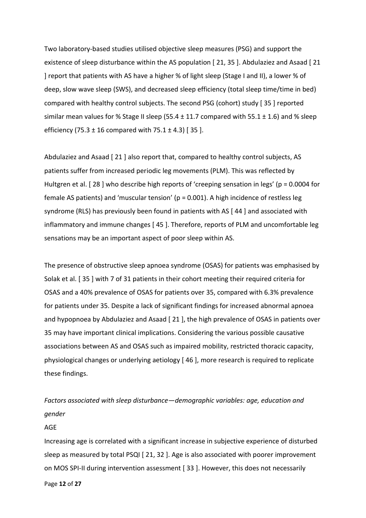Two laboratory-based studies utilised objective sleep measures (PSG) and support the existence of sleep disturbance within the AS population [ 21, 35 ]. Abdulaziez and Asaad [ 21 ] report that patients with AS have a higher % of light sleep (Stage I and II), a lower % of deep, slow wave sleep (SWS), and decreased sleep efficiency (total sleep time/time in bed) compared with healthy control subjects. The second PSG (cohort) study [ 35 ] reported similar mean values for % Stage II sleep (55.4  $\pm$  11.7 compared with 55.1  $\pm$  1.6) and % sleep efficiency (75.3  $\pm$  16 compared with 75.1  $\pm$  4.3) [35].

Abdulaziez and Asaad [ 21 ] also report that, compared to healthy control subjects, AS patients suffer from increased periodic leg movements (PLM). This was reflected by Hultgren et al. [28] who describe high reports of 'creeping sensation in legs' (p = 0.0004 for female AS patients) and 'muscular tension' ( $p = 0.001$ ). A high incidence of restless leg syndrome (RLS) has previously been found in patients with AS [ 44 ] and associated with inflammatory and immune changes [ 45 ]. Therefore, reports of PLM and uncomfortable leg sensations may be an important aspect of poor sleep within AS.

The presence of obstructive sleep apnoea syndrome (OSAS) for patients was emphasised by Solak et al. [ 35 ] with 7 of 31 patients in their cohort meeting their required criteria for OSAS and a 40% prevalence of OSAS for patients over 35, compared with 6.3% prevalence for patients under 35. Despite a lack of significant findings for increased abnormal apnoea and hypopnoea by Abdulaziez and Asaad [ 21 ], the high prevalence of OSAS in patients over 35 may have important clinical implications. Considering the various possible causative associations between AS and OSAS such as impaired mobility, restricted thoracic capacity, physiological changes or underlying aetiology [ 46 ], more research is required to replicate these findings.

*Factors associated with sleep disturbance—demographic variables: age, education and gender*

### AGE

Increasing age is correlated with a significant increase in subjective experience of disturbed sleep as measured by total PSQI [ 21, 32 ]. Age is also associated with poorer improvement on MOS SPI-II during intervention assessment [ 33 ]. However, this does not necessarily

Page **12** of **27**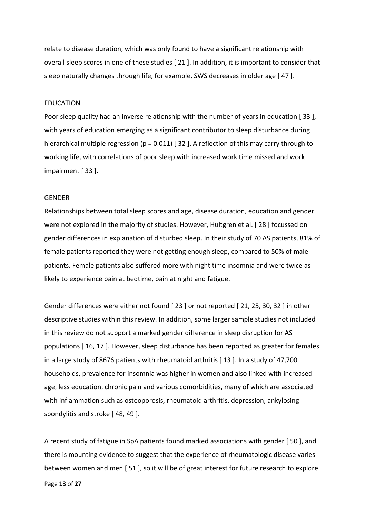relate to disease duration, which was only found to have a significant relationship with overall sleep scores in one of these studies [ 21 ]. In addition, it is important to consider that sleep naturally changes through life, for example, SWS decreases in older age [ 47 ].

### EDUCATION

Poor sleep quality had an inverse relationship with the number of years in education [ 33 ], with years of education emerging as a significant contributor to sleep disturbance during hierarchical multiple regression (p = 0.011) [32]. A reflection of this may carry through to working life, with correlations of poor sleep with increased work time missed and work impairment [ 33 ].

### GENDER

Relationships between total sleep scores and age, disease duration, education and gender were not explored in the majority of studies. However, Hultgren et al. [ 28 ] focussed on gender differences in explanation of disturbed sleep. In their study of 70 AS patients, 81% of female patients reported they were not getting enough sleep, compared to 50% of male patients. Female patients also suffered more with night time insomnia and were twice as likely to experience pain at bedtime, pain at night and fatigue.

Gender differences were either not found [ 23 ] or not reported [ 21, 25, 30, 32 ] in other descriptive studies within this review. In addition, some larger sample studies not included in this review do not support a marked gender difference in sleep disruption for AS populations [ 16, 17 ]. However, sleep disturbance has been reported as greater for females in a large study of 8676 patients with rheumatoid arthritis [ 13 ]. In a study of 47,700 households, prevalence for insomnia was higher in women and also linked with increased age, less education, chronic pain and various comorbidities, many of which are associated with inflammation such as osteoporosis, rheumatoid arthritis, depression, ankylosing spondylitis and stroke [ 48, 49 ].

A recent study of fatigue in SpA patients found marked associations with gender [ 50 ], and there is mounting evidence to suggest that the experience of rheumatologic disease varies between women and men [ 51 ], so it will be of great interest for future research to explore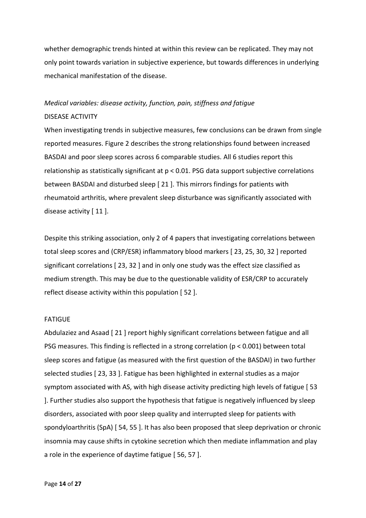whether demographic trends hinted at within this review can be replicated. They may not only point towards variation in subjective experience, but towards differences in underlying mechanical manifestation of the disease.

### *Medical variables: disease activity, function, pain, stiffness and fatigue* DISEASE ACTIVITY

## When investigating trends in subjective measures, few conclusions can be drawn from single reported measures. Figure 2 describes the strong relationships found between increased BASDAI and poor sleep scores across 6 comparable studies. All 6 studies report this relationship as statistically significant at p < 0.01. PSG data support subjective correlations between BASDAI and disturbed sleep [ 21 ]. This mirrors findings for patients with rheumatoid arthritis, where prevalent sleep disturbance was significantly associated with disease activity [ 11 ].

Despite this striking association, only 2 of 4 papers that investigating correlations between total sleep scores and (CRP/ESR) inflammatory blood markers [ 23, 25, 30, 32 ] reported significant correlations [ 23, 32 ] and in only one study was the effect size classified as medium strength. This may be due to the questionable validity of ESR/CRP to accurately reflect disease activity within this population [ 52 ].

### FATIGUE

Abdulaziez and Asaad [ 21 ] report highly significant correlations between fatigue and all PSG measures. This finding is reflected in a strong correlation (p < 0.001) between total sleep scores and fatigue (as measured with the first question of the BASDAI) in two further selected studies [ 23, 33 ]. Fatigue has been highlighted in external studies as a major symptom associated with AS, with high disease activity predicting high levels of fatigue [ 53 ]. Further studies also support the hypothesis that fatigue is negatively influenced by sleep disorders, associated with poor sleep quality and interrupted sleep for patients with spondyloarthritis (SpA) [ 54, 55 ]. It has also been proposed that sleep deprivation or chronic insomnia may cause shifts in cytokine secretion which then mediate inflammation and play a role in the experience of daytime fatigue [ 56, 57 ].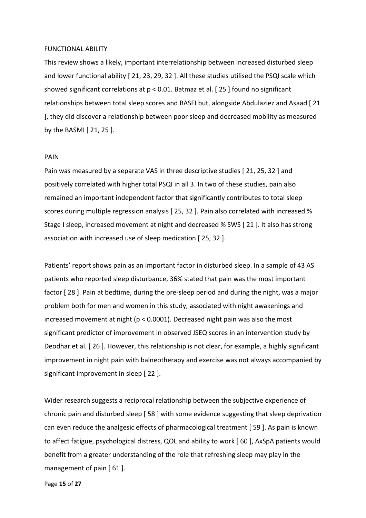### FUNCTIONAL ABILITY

This review shows a likely, important interrelationship between increased disturbed sleep and lower functional ability [ 21, 23, 29, 32 ]. All these studies utilised the PSQI scale which showed significant correlations at p < 0.01. Batmaz et al. [ 25 ] found no significant relationships between total sleep scores and BASFI but, alongside Abdulaziez and Asaad [ 21 ], they did discover a relationship between poor sleep and decreased mobility as measured by the BASMI [ 21, 25 ].

#### PAIN

Pain was measured by a separate VAS in three descriptive studies [ 21, 25, 32 ] and positively correlated with higher total PSQI in all 3. In two of these studies, pain also remained an important independent factor that significantly contributes to total sleep scores during multiple regression analysis [ 25, 32 ]. Pain also correlated with increased % Stage I sleep, increased movement at night and decreased % SWS [ 21 ]. It also has strong association with increased use of sleep medication [ 25, 32 ].

Patients' report shows pain as an important factor in disturbed sleep. In a sample of 43 AS patients who reported sleep disturbance, 36% stated that pain was the most important factor [ 28 ]. Pain at bedtime, during the pre-sleep period and during the night, was a major problem both for men and women in this study, associated with night awakenings and increased movement at night ( $p < 0.0001$ ). Decreased night pain was also the most significant predictor of improvement in observed JSEQ scores in an intervention study by Deodhar et al. [ 26 ]. However, this relationship is not clear, for example, a highly significant improvement in night pain with balneotherapy and exercise was not always accompanied by significant improvement in sleep [ 22 ].

Wider research suggests a reciprocal relationship between the subjective experience of chronic pain and disturbed sleep [ 58 ] with some evidence suggesting that sleep deprivation can even reduce the analgesic effects of pharmacological treatment [ 59 ]. As pain is known to affect fatigue, psychological distress, QOL and ability to work [ 60 ], AxSpA patients would benefit from a greater understanding of the role that refreshing sleep may play in the management of pain [ 61 ].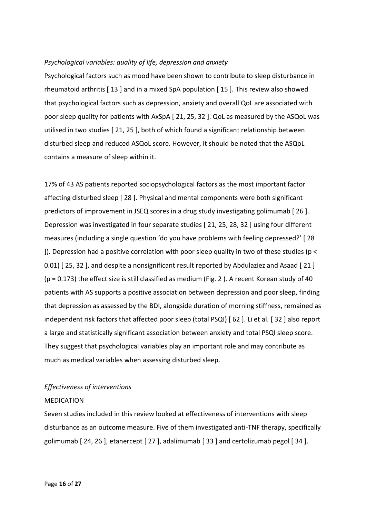### *Psychological variables: quality of life, depression and anxiety*

Psychological factors such as mood have been shown to contribute to sleep disturbance in rheumatoid arthritis [ 13 ] and in a mixed SpA population [ 15 ]. This review also showed that psychological factors such as depression, anxiety and overall QoL are associated with poor sleep quality for patients with AxSpA [ 21, 25, 32 ]. QoL as measured by the ASQoL was utilised in two studies [ 21, 25 ], both of which found a significant relationship between disturbed sleep and reduced ASQoL score. However, it should be noted that the ASQoL contains a measure of sleep within it.

17% of 43 AS patients reported sociopsychological factors as the most important factor affecting disturbed sleep [ 28 ]. Physical and mental components were both significant predictors of improvement in JSEQ scores in a drug study investigating golimumab [ 26 ]. Depression was investigated in four separate studies [ 21, 25, 28, 32 ] using four different measures (including a single question 'do you have problems with feeling depressed?' [ 28 ]). Depression had a positive correlation with poor sleep quality in two of these studies (p < 0.01) [25, 32], and despite a nonsignificant result reported by Abdulaziez and Asaad [21] (p = 0.173) the effect size is still classified as medium (Fig. 2 ). A recent Korean study of 40 patients with AS supports a positive association between depression and poor sleep, finding that depression as assessed by the BDI, alongside duration of morning stiffness, remained as independent risk factors that affected poor sleep (total PSQI) [ 62 ]. Li et al. [ 32 ] also report a large and statistically significant association between anxiety and total PSQI sleep score. They suggest that psychological variables play an important role and may contribute as much as medical variables when assessing disturbed sleep.

### *Effectiveness of interventions*

### MEDICATION

Seven studies included in this review looked at effectiveness of interventions with sleep disturbance as an outcome measure. Five of them investigated anti-TNF therapy, specifically golimumab [ 24, 26 ], etanercept [ 27 ], adalimumab [ 33 ] and certolizumab pegol [ 34 ].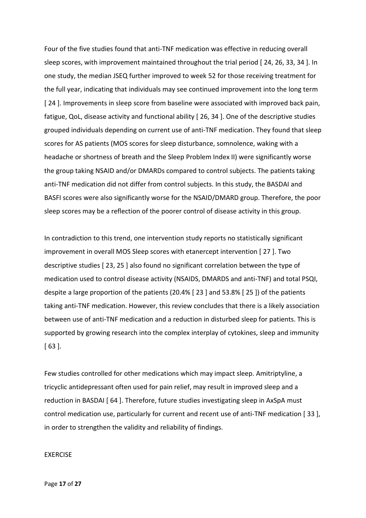Four of the five studies found that anti-TNF medication was effective in reducing overall sleep scores, with improvement maintained throughout the trial period [ 24, 26, 33, 34 ]. In one study, the median JSEQ further improved to week 52 for those receiving treatment for the full year, indicating that individuals may see continued improvement into the long term [ 24 ]. Improvements in sleep score from baseline were associated with improved back pain, fatigue, QoL, disease activity and functional ability [ 26, 34 ]. One of the descriptive studies grouped individuals depending on current use of anti-TNF medication. They found that sleep scores for AS patients (MOS scores for sleep disturbance, somnolence, waking with a headache or shortness of breath and the Sleep Problem Index II) were significantly worse the group taking NSAID and/or DMARDs compared to control subjects. The patients taking anti-TNF medication did not differ from control subjects. In this study, the BASDAI and BASFI scores were also significantly worse for the NSAID/DMARD group. Therefore, the poor sleep scores may be a reflection of the poorer control of disease activity in this group.

In contradiction to this trend, one intervention study reports no statistically significant improvement in overall MOS Sleep scores with etanercept intervention [ 27 ]. Two descriptive studies [ 23, 25 ] also found no significant correlation between the type of medication used to control disease activity (NSAIDS, DMARDS and anti-TNF) and total PSQI, despite a large proportion of the patients (20.4% [ 23 ] and 53.8% [ 25 ]) of the patients taking anti-TNF medication. However, this review concludes that there is a likely association between use of anti-TNF medication and a reduction in disturbed sleep for patients. This is supported by growing research into the complex interplay of cytokines, sleep and immunity [ 63 ].

Few studies controlled for other medications which may impact sleep. Amitriptyline, a tricyclic antidepressant often used for pain relief, may result in improved sleep and a reduction in BASDAI [ 64 ]. Therefore, future studies investigating sleep in AxSpA must control medication use, particularly for current and recent use of anti-TNF medication [ 33 ], in order to strengthen the validity and reliability of findings.

### EXERCISE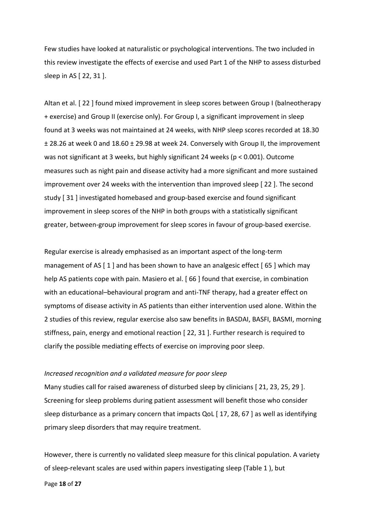Few studies have looked at naturalistic or psychological interventions. The two included in this review investigate the effects of exercise and used Part 1 of the NHP to assess disturbed sleep in AS [ 22, 31 ].

Altan et al. [ 22 ] found mixed improvement in sleep scores between Group I (balneotherapy + exercise) and Group II (exercise only). For Group I, a significant improvement in sleep found at 3 weeks was not maintained at 24 weeks, with NHP sleep scores recorded at 18.30 ± 28.26 at week 0 and 18.60 ± 29.98 at week 24. Conversely with Group II, the improvement was not significant at 3 weeks, but highly significant 24 weeks (p < 0.001). Outcome measures such as night pain and disease activity had a more significant and more sustained improvement over 24 weeks with the intervention than improved sleep [ 22 ]. The second study [ 31 ] investigated homebased and group-based exercise and found significant improvement in sleep scores of the NHP in both groups with a statistically significant greater, between-group improvement for sleep scores in favour of group-based exercise.

Regular exercise is already emphasised as an important aspect of the long-term management of AS  $\lceil 1 \rceil$  and has been shown to have an analgesic effect  $\lceil 65 \rceil$  which may help AS patients cope with pain. Masiero et al. [ 66 ] found that exercise, in combination with an educational–behavioural program and anti-TNF therapy, had a greater effect on symptoms of disease activity in AS patients than either intervention used alone. Within the 2 studies of this review, regular exercise also saw benefits in BASDAI, BASFI, BASMI, morning stiffness, pain, energy and emotional reaction [ 22, 31 ]. Further research is required to clarify the possible mediating effects of exercise on improving poor sleep.

### *Increased recognition and a validated measure for poor sleep*

Many studies call for raised awareness of disturbed sleep by clinicians [ 21, 23, 25, 29 ]. Screening for sleep problems during patient assessment will benefit those who consider sleep disturbance as a primary concern that impacts QoL [ 17, 28, 67 ] as well as identifying primary sleep disorders that may require treatment.

However, there is currently no validated sleep measure for this clinical population. A variety of sleep-relevant scales are used within papers investigating sleep (Table 1 ), but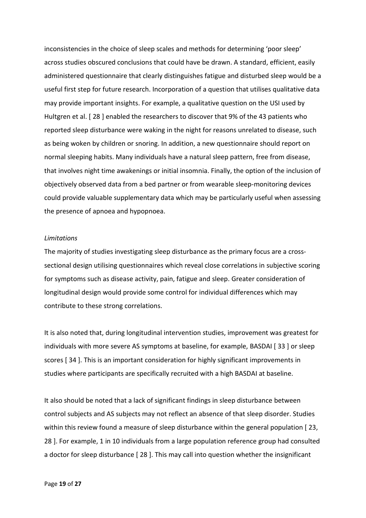inconsistencies in the choice of sleep scales and methods for determining 'poor sleep' across studies obscured conclusions that could have be drawn. A standard, efficient, easily administered questionnaire that clearly distinguishes fatigue and disturbed sleep would be a useful first step for future research. Incorporation of a question that utilises qualitative data may provide important insights. For example, a qualitative question on the USI used by Hultgren et al. [ 28 ] enabled the researchers to discover that 9% of the 43 patients who reported sleep disturbance were waking in the night for reasons unrelated to disease, such as being woken by children or snoring. In addition, a new questionnaire should report on normal sleeping habits. Many individuals have a natural sleep pattern, free from disease, that involves night time awakenings or initial insomnia. Finally, the option of the inclusion of objectively observed data from a bed partner or from wearable sleep-monitoring devices could provide valuable supplementary data which may be particularly useful when assessing the presence of apnoea and hypopnoea.

### *Limitations*

The majority of studies investigating sleep disturbance as the primary focus are a crosssectional design utilising questionnaires which reveal close correlations in subjective scoring for symptoms such as disease activity, pain, fatigue and sleep. Greater consideration of longitudinal design would provide some control for individual differences which may contribute to these strong correlations.

It is also noted that, during longitudinal intervention studies, improvement was greatest for individuals with more severe AS symptoms at baseline, for example, BASDAI [ 33 ] or sleep scores [ 34 ]. This is an important consideration for highly significant improvements in studies where participants are specifically recruited with a high BASDAI at baseline.

It also should be noted that a lack of significant findings in sleep disturbance between control subjects and AS subjects may not reflect an absence of that sleep disorder. Studies within this review found a measure of sleep disturbance within the general population [ 23, 28 ]. For example, 1 in 10 individuals from a large population reference group had consulted a doctor for sleep disturbance [ 28 ]. This may call into question whether the insignificant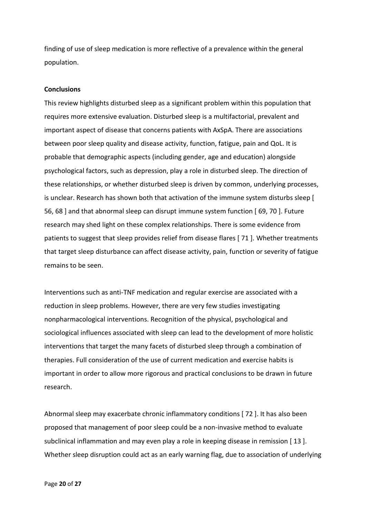finding of use of sleep medication is more reflective of a prevalence within the general population.

### **Conclusions**

This review highlights disturbed sleep as a significant problem within this population that requires more extensive evaluation. Disturbed sleep is a multifactorial, prevalent and important aspect of disease that concerns patients with AxSpA. There are associations between poor sleep quality and disease activity, function, fatigue, pain and QoL. It is probable that demographic aspects (including gender, age and education) alongside psychological factors, such as depression, play a role in disturbed sleep. The direction of these relationships, or whether disturbed sleep is driven by common, underlying processes, is unclear. Research has shown both that activation of the immune system disturbs sleep [ 56, 68 ] and that abnormal sleep can disrupt immune system function [ 69, 70 ]. Future research may shed light on these complex relationships. There is some evidence from patients to suggest that sleep provides relief from disease flares [ 71 ]. Whether treatments that target sleep disturbance can affect disease activity, pain, function or severity of fatigue remains to be seen.

Interventions such as anti-TNF medication and regular exercise are associated with a reduction in sleep problems. However, there are very few studies investigating nonpharmacological interventions. Recognition of the physical, psychological and sociological influences associated with sleep can lead to the development of more holistic interventions that target the many facets of disturbed sleep through a combination of therapies. Full consideration of the use of current medication and exercise habits is important in order to allow more rigorous and practical conclusions to be drawn in future research.

Abnormal sleep may exacerbate chronic inflammatory conditions [ 72 ]. It has also been proposed that management of poor sleep could be a non-invasive method to evaluate subclinical inflammation and may even play a role in keeping disease in remission [13]. Whether sleep disruption could act as an early warning flag, due to association of underlying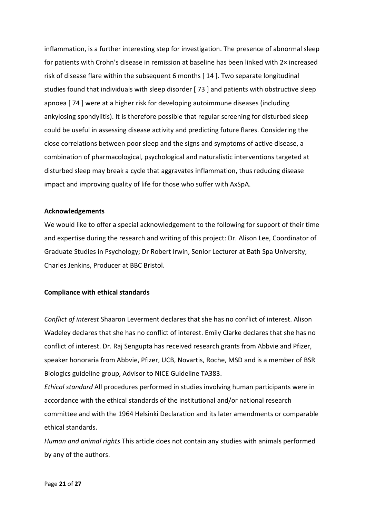inflammation, is a further interesting step for investigation. The presence of abnormal sleep for patients with Crohn's disease in remission at baseline has been linked with 2× increased risk of disease flare within the subsequent 6 months [ 14 ]. Two separate longitudinal studies found that individuals with sleep disorder [ 73 ] and patients with obstructive sleep apnoea [ 74 ] were at a higher risk for developing autoimmune diseases (including ankylosing spondylitis). It is therefore possible that regular screening for disturbed sleep could be useful in assessing disease activity and predicting future flares. Considering the close correlations between poor sleep and the signs and symptoms of active disease, a combination of pharmacological, psychological and naturalistic interventions targeted at disturbed sleep may break a cycle that aggravates inflammation, thus reducing disease impact and improving quality of life for those who suffer with AxSpA.

### **Acknowledgements**

We would like to offer a special acknowledgement to the following for support of their time and expertise during the research and writing of this project: Dr. Alison Lee, Coordinator of Graduate Studies in Psychology; Dr Robert Irwin, Senior Lecturer at Bath Spa University; Charles Jenkins, Producer at BBC Bristol.

### **Compliance with ethical standards**

*Conflict of interest* Shaaron Leverment declares that she has no conflict of interest. Alison Wadeley declares that she has no conflict of interest. Emily Clarke declares that she has no conflict of interest. Dr. Raj Sengupta has received research grants from Abbvie and Pfizer, speaker honoraria from Abbvie, Pfizer, UCB, Novartis, Roche, MSD and is a member of BSR Biologics guideline group, Advisor to NICE Guideline TA383.

*Ethical standard* All procedures performed in studies involving human participants were in accordance with the ethical standards of the institutional and/or national research committee and with the 1964 Helsinki Declaration and its later amendments or comparable ethical standards.

*Human and animal rights* This article does not contain any studies with animals performed by any of the authors.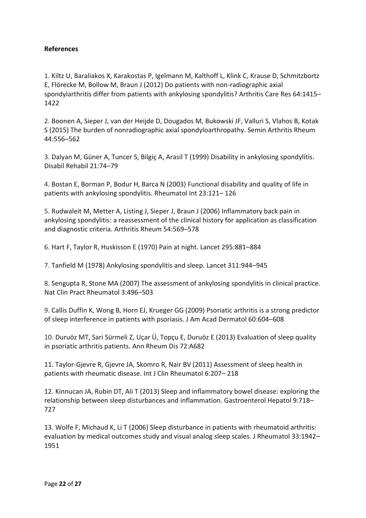### **References**

1. Kiltz U, Baraliakos X, Karakostas P, Igelmann M, Kalthoff L, Klink C, Krause D, Schmitzbortz E, Flörecke M, Bollow M, Braun J (2012) Do patients with non-radiographic axial spondylarthritis differ from patients with ankylosing spondylitis? Arthritis Care Res 64:1415– 1422

2. Boonen A, Sieper J, van der Heijde D, Dougados M, Bukowski JF, Valluri S, Vlahos B, Kotak S (2015) The burden of nonradiographic axial spondyloarthropathy. Semin Arthritis Rheum 44:556–562

3. Dalyan M, Güner A, Tuncer S, Bilgiç A, Arasil T (1999) Disability in ankylosing spondylitis. Disabil Rehabil 21:74–79

4. Bostan E, Borman P, Bodur H, Barca N (2003) Functional disability and quality of life in patients with ankylosing spondylitis. Rheumatol Int 23:121– 126

5. Rudwaleit M, Metter A, Listing J, Sieper J, Braun J (2006) Inflammatory back pain in ankylosing spondylitis: a reassessment of the clinical history for application as classification and diagnostic criteria. Arthritis Rheum 54:569–578

6. Hart F, Taylor R, Huskisson E (1970) Pain at night. Lancet 295:881–884

7. Tanfield M (1978) Ankylosing spondylitis and sleep. Lancet 311:944–945

8. Sengupta R, Stone MA (2007) The assessment of ankylosing spondylitis in clinical practice. Nat Clin Pract Rheumatol 3:496–503

9. Callis Duffin K, Wong B, Horn EJ, Krueger GG (2009) Psoriatic arthritis is a strong predictor of sleep interference in patients with psoriasis. J Am Acad Dermatol 60:604–608

10. Duruöz MT, Sari Sürmeli Z, Uçar Ü, Topçu E, Duruöz E (2013) Evaluation of sleep quality in psoriatic arthritis patients. Ann Rheum Dis 72:A682

11. Taylor-Gjevre R, Gjevre JA, Skomro R, Nair BV (2011) Assessment of sleep health in patients with rheumatic disease. Int J Clin Rheumatol 6:207– 218

12. Kinnucan JA, Rubin DT, Ali T (2013) Sleep and inflammatory bowel disease: exploring the relationship between sleep disturbances and inflammation. Gastroenterol Hepatol 9:718– 727

13. Wolfe F, Michaud K, Li T (2006) Sleep disturbance in patients with rheumatoid arthritis: evaluation by medical outcomes study and visual analog sleep scales. J Rheumatol 33:1942– 1951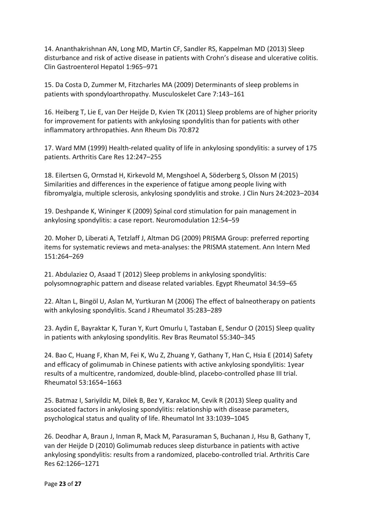14. Ananthakrishnan AN, Long MD, Martin CF, Sandler RS, Kappelman MD (2013) Sleep disturbance and risk of active disease in patients with Crohn's disease and ulcerative colitis. Clin Gastroenterol Hepatol 1:965–971

15. Da Costa D, Zummer M, Fitzcharles MA (2009) Determinants of sleep problems in patients with spondyloarthropathy. Musculoskelet Care 7:143–161

16. Heiberg T, Lie E, van Der Heijde D, Kvien TK (2011) Sleep problems are of higher priority for improvement for patients with ankylosing spondylitis than for patients with other inflammatory arthropathies. Ann Rheum Dis 70:872

17. Ward MM (1999) Health-related quality of life in ankylosing spondylitis: a survey of 175 patients. Arthritis Care Res 12:247–255

18. Eilertsen G, Ormstad H, Kirkevold M, Mengshoel A, Söderberg S, Olsson M (2015) Similarities and differences in the experience of fatigue among people living with fibromyalgia, multiple sclerosis, ankylosing spondylitis and stroke. J Clin Nurs 24:2023–2034

19. Deshpande K, Wininger K (2009) Spinal cord stimulation for pain management in ankylosing spondylitis: a case report. Neuromodulation 12:54–59

20. Moher D, Liberati A, Tetzlaff J, Altman DG (2009) PRISMA Group: preferred reporting items for systematic reviews and meta-analyses: the PRISMA statement. Ann Intern Med 151:264–269

21. Abdulaziez O, Asaad T (2012) Sleep problems in ankylosing spondylitis: polysomnographic pattern and disease related variables. Egypt Rheumatol 34:59–65

22. Altan L, Bingöl U, Aslan M, Yurtkuran M (2006) The effect of balneotherapy on patients with ankylosing spondylitis. Scand J Rheumatol 35:283–289

23. Aydin E, Bayraktar K, Turan Y, Kurt Omurlu I, Tastaban E, Sendur O (2015) Sleep quality in patients with ankylosing spondylitis. Rev Bras Reumatol 55:340–345

24. Bao C, Huang F, Khan M, Fei K, Wu Z, Zhuang Y, Gathany T, Han C, Hsia E (2014) Safety and efficacy of golimumab in Chinese patients with active ankylosing spondylitis: 1year results of a multicentre, randomized, double-blind, placebo-controlled phase III trial. Rheumatol 53:1654–1663

25. Batmaz I, Sariyildiz M, Dilek B, Bez Y, Karakoc M, Cevik R (2013) Sleep quality and associated factors in ankylosing spondylitis: relationship with disease parameters, psychological status and quality of life. Rheumatol Int 33:1039–1045

26. Deodhar A, Braun J, Inman R, Mack M, Parasuraman S, Buchanan J, Hsu B, Gathany T, van der Heijde D (2010) Golimumab reduces sleep disturbance in patients with active ankylosing spondylitis: results from a randomized, placebo-controlled trial. Arthritis Care Res 62:1266–1271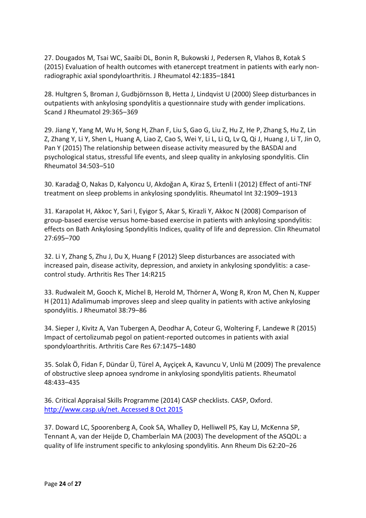27. Dougados M, Tsai WC, Saaibi DL, Bonin R, Bukowski J, Pedersen R, Vlahos B, Kotak S (2015) Evaluation of health outcomes with etanercept treatment in patients with early nonradiographic axial spondyloarthritis. J Rheumatol 42:1835–1841

28. Hultgren S, Broman J, Gudbjörnsson B, Hetta J, Lindqvist U (2000) Sleep disturbances in outpatients with ankylosing spondylitis a questionnaire study with gender implications. Scand J Rheumatol 29:365–369

29. Jiang Y, Yang M, Wu H, Song H, Zhan F, Liu S, Gao G, Liu Z, Hu Z, He P, Zhang S, Hu Z, Lin Z, Zhang Y, Li Y, Shen L, Huang A, Liao Z, Cao S, Wei Y, Li L, Li Q, Lv Q, Qi J, Huang J, Li T, Jin O, Pan Y (2015) The relationship between disease activity measured by the BASDAI and psychological status, stressful life events, and sleep quality in ankylosing spondylitis. Clin Rheumatol 34:503–510

30. Karadağ O, Nakas D, Kalyoncu U, Akdoğan A, Kiraz S, Ertenli I (2012) Effect of anti-TNF treatment on sleep problems in ankylosing spondylitis. Rheumatol Int 32:1909–1913

31. Karapolat H, Akkoc Y, Sari I, Eyigor S, Akar S, Kirazli Y, Akkoc N (2008) Comparison of group-based exercise versus home-based exercise in patients with ankylosing spondylitis: effects on Bath Ankylosing Spondylitis Indices, quality of life and depression. Clin Rheumatol 27:695–700

32. Li Y, Zhang S, Zhu J, Du X, Huang F (2012) Sleep disturbances are associated with increased pain, disease activity, depression, and anxiety in ankylosing spondylitis: a casecontrol study. Arthritis Res Ther 14:R215

33. Rudwaleit M, Gooch K, Michel B, Herold M, Thörner A, Wong R, Kron M, Chen N, Kupper H (2011) Adalimumab improves sleep and sleep quality in patients with active ankylosing spondylitis. J Rheumatol 38:79–86

34. Sieper J, Kivitz A, Van Tubergen A, Deodhar A, Coteur G, Woltering F, Landewe R (2015) Impact of certolizumab pegol on patient-reported outcomes in patients with axial spondyloarthritis. Arthritis Care Res 67:1475–1480

35. Solak Ö, Fidan F, Dündar Ü, Türel A, Ayçiçek A, Kavuncu V, Unlü M (2009) The prevalence of obstructive sleep apnoea syndrome in ankylosing spondylitis patients. Rheumatol 48:433–435

36. Critical Appraisal Skills Programme (2014) CASP checklists. CASP, Oxford. [http://www.casp.uk/net. Accessed 8 Oct 2015](http://www.casp.uk/net.%20Accessed%208%20Oct%202015)

37. Doward LC, Spoorenberg A, Cook SA, Whalley D, Helliwell PS, Kay LJ, McKenna SP, Tennant A, van der Heijde D, Chamberlain MA (2003) The development of the ASQOL: a quality of life instrument specific to ankylosing spondylitis. Ann Rheum Dis 62:20–26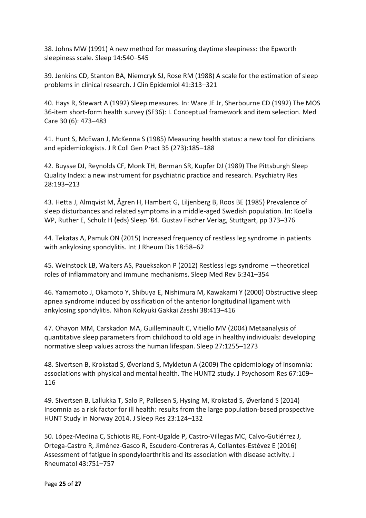38. Johns MW (1991) A new method for measuring daytime sleepiness: the Epworth sleepiness scale. Sleep 14:540–545

39. Jenkins CD, Stanton BA, Niemcryk SJ, Rose RM (1988) A scale for the estimation of sleep problems in clinical research. J Clin Epidemiol 41:313–321

40. Hays R, Stewart A (1992) Sleep measures. In: Ware JE Jr, Sherbourne CD (1992) The MOS 36-item short-form health survey (SF36): I. Conceptual framework and item selection. Med Care 30 (6): 473–483

41. Hunt S, McEwan J, McKenna S (1985) Measuring health status: a new tool for clinicians and epidemiologists. J R Coll Gen Pract 35 (273):185–188

42. Buysse DJ, Reynolds CF, Monk TH, Berman SR, Kupfer DJ (1989) The Pittsburgh Sleep Quality Index: a new instrument for psychiatric practice and research. Psychiatry Res 28:193–213

43. Hetta J, Almqvist M, Ågren H, Hambert G, Liljenberg B, Roos BE (1985) Prevalence of sleep disturbances and related symptoms in a middle-aged Swedish population. In: Koella WP, Ruther E, Schulz H (eds) Sleep '84. Gustav Fischer Verlag, Stuttgart, pp 373–376

44. Tekatas A, Pamuk ON (2015) Increased frequency of restless leg syndrome in patients with ankylosing spondylitis. Int J Rheum Dis 18:58–62

45. Weinstock LB, Walters AS, Paueksakon P (2012) Restless legs syndrome —theoretical roles of inflammatory and immune mechanisms. Sleep Med Rev 6:341–354

46. Yamamoto J, Okamoto Y, Shibuya E, Nishimura M, Kawakami Y (2000) Obstructive sleep apnea syndrome induced by ossification of the anterior longitudinal ligament with ankylosing spondylitis. Nihon Kokyuki Gakkai Zasshi 38:413–416

47. Ohayon MM, Carskadon MA, Guilleminault C, Vitiello MV (2004) Metaanalysis of quantitative sleep parameters from childhood to old age in healthy individuals: developing normative sleep values across the human lifespan. Sleep 27:1255–1273

48. Sivertsen B, Krokstad S, Øverland S, Mykletun A (2009) The epidemiology of insomnia: associations with physical and mental health. The HUNT2 study. J Psychosom Res 67:109– 116

49. Sivertsen B, Lallukka T, Salo P, Pallesen S, Hysing M, Krokstad S, Øverland S (2014) Insomnia as a risk factor for ill health: results from the large population-based prospective HUNT Study in Norway 2014. J Sleep Res 23:124–132

50. López-Medina C, Schiotis RE, Font-Ugalde P, Castro-Villegas MC, Calvo-Gutiérrez J, Ortega-Castro R, Jiménez-Gasco R, Escudero-Contreras A, Collantes-Estévez E (2016) Assessment of fatigue in spondyloarthritis and its association with disease activity. J Rheumatol 43:751–757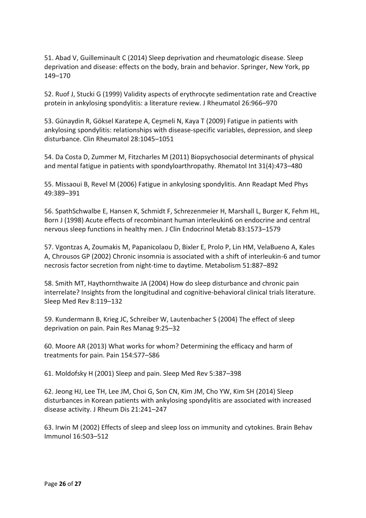51. Abad V, Guilleminault C (2014) Sleep deprivation and rheumatologic disease. Sleep deprivation and disease: effects on the body, brain and behavior. Springer, New York, pp 149–170

52. Ruof J, Stucki G (1999) Validity aspects of erythrocyte sedimentation rate and Creactive protein in ankylosing spondylitis: a literature review. J Rheumatol 26:966–970

53. Günaydin R, Göksel Karatepe A, Ceşmeli N, Kaya T (2009) Fatigue in patients with ankylosing spondylitis: relationships with disease-specific variables, depression, and sleep disturbance. Clin Rheumatol 28:1045–1051

54. Da Costa D, Zummer M, Fitzcharles M (2011) Biopsychosocial determinants of physical and mental fatigue in patients with spondyloarthropathy. Rhematol Int 31(4):473–480

55. Missaoui B, Revel M (2006) Fatigue in ankylosing spondylitis. Ann Readapt Med Phys 49:389–391

56. SpathSchwalbe E, Hansen K, Schmidt F, Schrezenmeier H, Marshall L, Burger K, Fehm HL, Born J (1998) Acute effects of recombinant human interleukin6 on endocrine and central nervous sleep functions in healthy men. J Clin Endocrinol Metab 83:1573–1579

57. Vgontzas A, Zoumakis M, Papanicolaou D, Bixler E, Prolo P, Lin HM, VelaBueno A, Kales A, Chrousos GP (2002) Chronic insomnia is associated with a shift of interleukin-6 and tumor necrosis factor secretion from night-time to daytime. Metabolism 51:887–892

58. Smith MT, Haythornthwaite JA (2004) How do sleep disturbance and chronic pain interrelate? Insights from the longitudinal and cognitive-behavioral clinical trials literature. Sleep Med Rev 8:119–132

59. Kundermann B, Krieg JC, Schreiber W, Lautenbacher S (2004) The effect of sleep deprivation on pain. Pain Res Manag 9:25–32

60. Moore AR (2013) What works for whom? Determining the efficacy and harm of treatments for pain. Pain 154:S77–S86

61. Moldofsky H (2001) Sleep and pain. Sleep Med Rev 5:387–398

62. Jeong HJ, Lee TH, Lee JM, Choi G, Son CN, Kim JM, Cho YW, Kim SH (2014) Sleep disturbances in Korean patients with ankylosing spondylitis are associated with increased disease activity. J Rheum Dis 21:241–247

63. Irwin M (2002) Effects of sleep and sleep loss on immunity and cytokines. Brain Behav Immunol 16:503–512